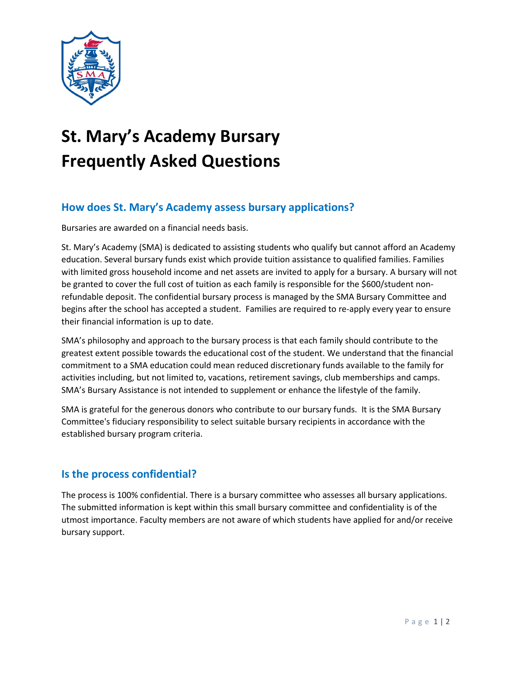

# **St. Mary's Academy Bursary Frequently Asked Questions**

## **How does St. Mary's Academy assess bursary applications?**

Bursaries are awarded on a financial needs basis.

St. Mary's Academy (SMA) is dedicated to assisting students who qualify but cannot afford an Academy education. Several bursary funds exist which provide tuition assistance to qualified families. Families with limited gross household income and net assets are invited to apply for a bursary. A bursary will not be granted to cover the full cost of tuition as each family is responsible for the \$600/student nonrefundable deposit. The confidential bursary process is managed by the SMA Bursary Committee and begins after the school has accepted a student. Families are required to re-apply every year to ensure their financial information is up to date.

SMA's philosophy and approach to the bursary process is that each family should contribute to the greatest extent possible towards the educational cost of the student. We understand that the financial commitment to a SMA education could mean reduced discretionary funds available to the family for activities including, but not limited to, vacations, retirement savings, club memberships and camps. SMA's Bursary Assistance is not intended to supplement or enhance the lifestyle of the family.

SMA is grateful for the generous donors who contribute to our bursary funds. It is the SMA Bursary Committee's fiduciary responsibility to select suitable bursary recipients in accordance with the established bursary program criteria.

#### **Is the process confidential?**

The process is 100% confidential. There is a bursary committee who assesses all bursary applications. The submitted information is kept within this small bursary committee and confidentiality is of the utmost importance. Faculty members are not aware of which students have applied for and/or receive bursary support.